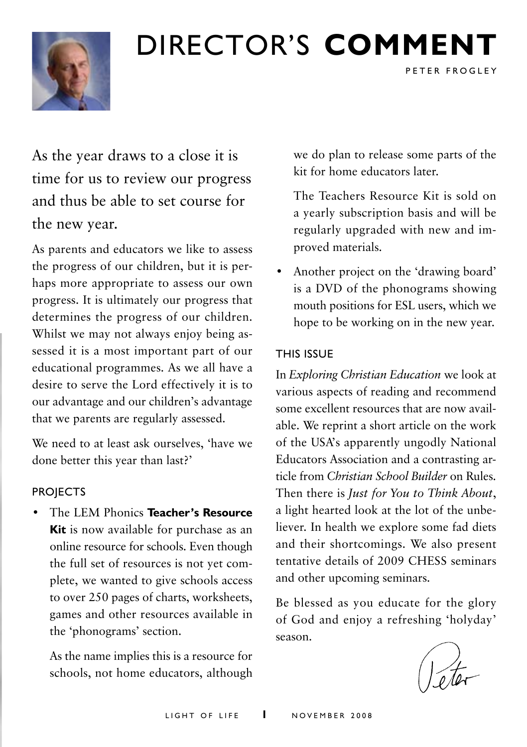

# Director's **comment**

As the year draws to a close it is time for us to review our progress and thus be able to set course for the new year.

As parents and educators we like to assess the progress of our children, but it is perhaps more appropriate to assess our own progress. It is ultimately our progress that determines the progress of our children. Whilst we may not always enjoy being assessed it is a most important part of our educational programmes. As we all have a desire to serve the Lord effectively it is to our advantage and our children's advantage that we parents are regularly assessed.

We need to at least ask ourselves, 'have we done better this year than last?'

#### **PROJECTS**

• The LEM Phonics **Teacher's Resource Kit** is now available for purchase as an online resource for schools. Even though the full set of resources is not yet complete, we wanted to give schools access to over 250 pages of charts, worksheets, games and other resources available in the 'phonograms' section.

As the name implies this is a resource for schools, not home educators, although we do plan to release some parts of the kit for home educators later.

PETER FROGLEY

The Teachers Resource Kit is sold on a yearly subscription basis and will be regularly upgraded with new and improved materials.

• Another project on the 'drawing board' is a DVD of the phonograms showing mouth positions for ESL users, which we hope to be working on in the new year.

#### This Issue

In *Exploring Christian Education* we look at various aspects of reading and recommend some excellent resources that are now available. We reprint a short article on the work of the USA's apparently ungodly National Educators Association and a contrasting article from *Christian School Builder* on Rules. Then there is *Just for You to Think About*, a light hearted look at the lot of the unbeliever. In health we explore some fad diets and their shortcomings. We also present tentative details of 2009 CHESS seminars and other upcoming seminars.

Be blessed as you educate for the glory of God and enjoy a refreshing 'holyday' season.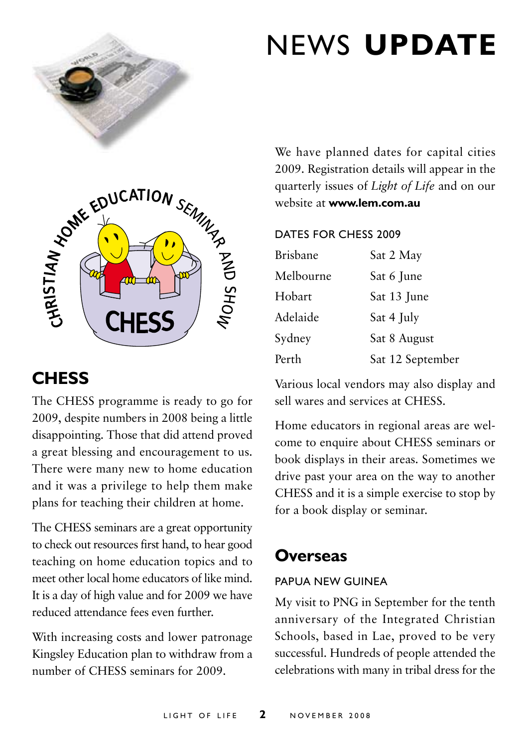

# CHESS FRIMMY AS BE

# **Chess**

The CHESS programme is ready to go for 2009, despite numbers in 2008 being a little disappointing. Those that did attend proved a great blessing and encouragement to us. There were many new to home education and it was a privilege to help them make plans for teaching their children at home.

The CHESS seminars are a great opportunity to check out resources first hand, to hear good teaching on home education topics and to meet other local home educators of like mind. It is a day of high value and for 2009 we have reduced attendance fees even further.

With increasing costs and lower patronage Kingsley Education plan to withdraw from a number of CHESS seminars for 2009.

# news **update**

We have planned dates for capital cities 2009. Registration details will appear in the quarterly issues of *Light of Life* and on our website at **www.lem.com.au**

#### Dates for CHESS 2009

| <b>Brisbane</b> | Sat 2 May        |
|-----------------|------------------|
| Melbourne       | Sat 6 June       |
| Hobart          | Sat 13 June      |
| Adelaide        | Sat 4 July       |
| Sydney          | Sat 8 August     |
| Perth           | Sat 12 September |

Various local vendors may also display and sell wares and services at CHESS.

Home educators in regional areas are welcome to enquire about CHESS seminars or book displays in their areas. Sometimes we drive past your area on the way to another CHESS and it is a simple exercise to stop by for a book display or seminar.

# **Overseas**

#### Papua New Guinea

My visit to PNG in September for the tenth anniversary of the Integrated Christian Schools, based in Lae, proved to be very successful. Hundreds of people attended the celebrations with many in tribal dress for the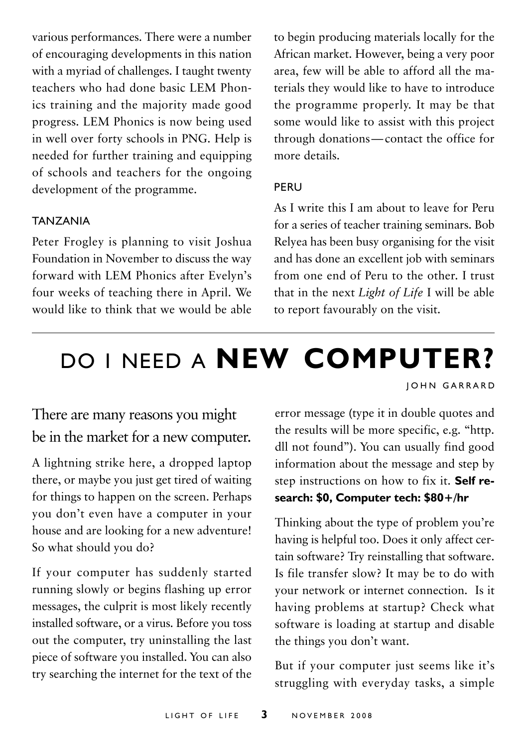various performances. There were a number of encouraging developments in this nation with a myriad of challenges. I taught twenty teachers who had done basic LEM Phonics training and the majority made good progress. LEM Phonics is now being used in well over forty schools in PNG. Help is needed for further training and equipping of schools and teachers for the ongoing development of the programme.

#### **TANZANIA**

Peter Frogley is planning to visit Joshua Foundation in November to discuss the way forward with LEM Phonics after Evelyn's four weeks of teaching there in April. We would like to think that we would be able to begin producing materials locally for the African market. However, being a very poor area, few will be able to afford all the materials they would like to have to introduce the programme properly. It may be that some would like to assist with this project through donations—contact the office for more details.

#### **PFRU**

As I write this I am about to leave for Peru for a series of teacher training seminars. Bob Relyea has been busy organising for the visit and has done an excellent job with seminars from one end of Peru to the other. I trust that in the next *Light of Life* I will be able to report favourably on the visit.

# Do I need A **new computer?**

**JOHN GARRARD** 

## There are many reasons you might be in the market for a new computer.

A lightning strike here, a dropped laptop there, or maybe you just get tired of waiting for things to happen on the screen. Perhaps you don't even have a computer in your house and are looking for a new adventure! So what should you do?

If your computer has suddenly started running slowly or begins flashing up error messages, the culprit is most likely recently installed software, or a virus. Before you toss out the computer, try uninstalling the last piece of software you installed. You can also try searching the internet for the text of the error message (type it in double quotes and the results will be more specific, e.g. "http. dll not found"). You can usually find good information about the message and step by step instructions on how to fix it. **Self research: \$0, Computer tech: \$80+/hr**

Thinking about the type of problem you're having is helpful too. Does it only affect certain software? Try reinstalling that software. Is file transfer slow? It may be to do with your network or internet connection. Is it having problems at startup? Check what software is loading at startup and disable the things you don't want.

But if your computer just seems like it's struggling with everyday tasks, a simple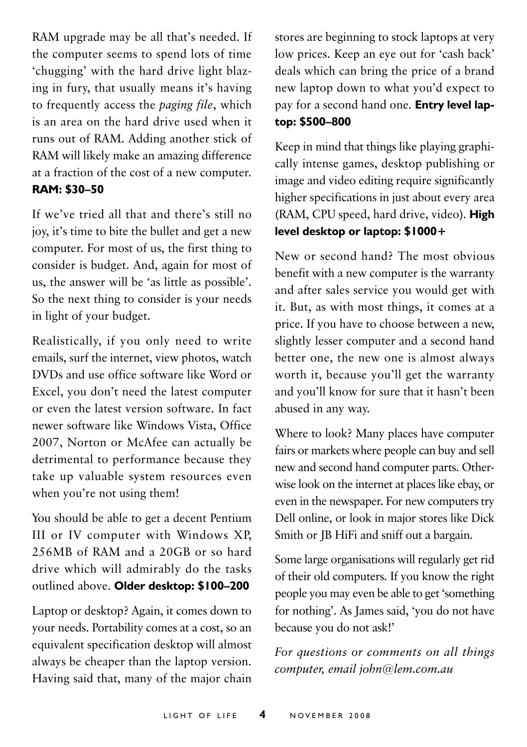RAM upgrade may be all that's needed. If the computer seems to spend lots of time 'chugging' with the hard drive light blazing in fury, that usually means it's having to frequently access the *paging file*, which is an area on the hard drive used when it runs out of RAM. Adding another stick of RAM will likely make an amazing difference at a fraction of the cost of a new computer. **RAM: \$30–50**

If we've tried all that and there's still no joy, it's time to bite the bullet and get a new computer. For most of us, the first thing to consider is budget. And, again for most of us, the answer will be 'as little as possible'. So the next thing to consider is your needs in light of your budget.

Realistically, if you only need to write emails, surf the internet, view photos, watch DVDs and use office software like Word or Excel, you don't need the latest computer or even the latest version software. In fact newer software like Windows Vista, Office 2007, Norton or McAfee can actually be detrimental to performance because they take up valuable system resources even when you're not using them!

You should be able to get a decent Pentium III or IV computer with Windows XP, 256MB of RAM and a 20GB or so hard drive which will admirably do the tasks outlined above. **Older desktop: \$100–200**

Laptop or desktop? Again, it comes down to your needs. Portability comes at a cost, so an equivalent specification desktop will almost always be cheaper than the laptop version. Having said that, many of the major chain stores are beginning to stock laptops at very low prices. Keep an eye out for 'cash back' deals which can bring the price of a brand new laptop down to what you'd expect to pay for a second hand one. **Entry level laptop: \$500–800**

Keep in mind that things like playing graphically intense games, desktop publishing or image and video editing require significantly higher specifications in just about every area (RAM, CPU speed, hard drive, video). **High level desktop or laptop: \$1000+**

New or second hand? The most obvious benefit with a new computer is the warranty and after sales service you would get with it. But, as with most things, it comes at a price. If you have to choose between a new, slightly lesser computer and a second hand better one, the new one is almost always worth it, because you'll get the warranty and you'll know for sure that it hasn't been abused in any way.

Where to look? Many places have computer fairs or markets where people can buy and sell new and second hand computer parts. Otherwise look on the internet at places like ebay, or even in the newspaper. For new computers try Dell online, or look in major stores like Dick Smith or JB HiFi and sniff out a bargain.

Some large organisations will regularly get rid of their old computers. If you know the right people you may even be able to get 'something for nothing'. As James said, 'you do not have because you do not ask!'

*For questions or comments on all things computer, email john@lem.com.au*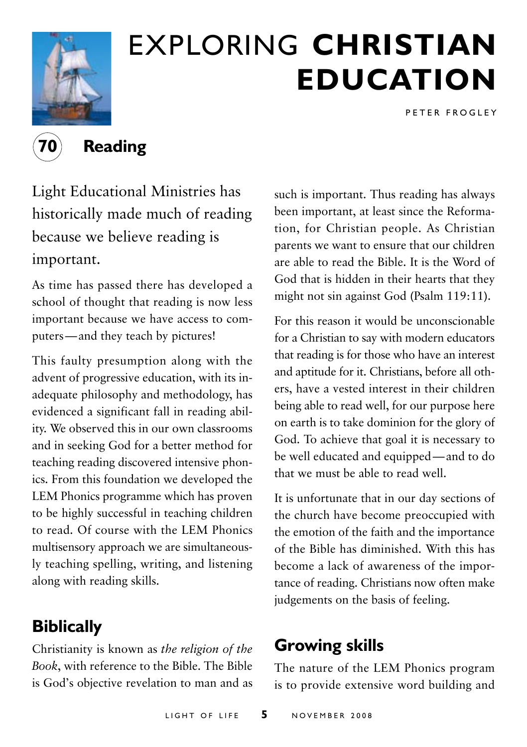

# exploring **christian education**

P E T E R F R O G L E Y

**70 Reading**

Light Educational Ministries has historically made much of reading because we believe reading is

### important.

As time has passed there has developed a school of thought that reading is now less important because we have access to computers—and they teach by pictures!

This faulty presumption along with the advent of progressive education, with its inadequate philosophy and methodology, has evidenced a significant fall in reading ability. We observed this in our own classrooms and in seeking God for a better method for teaching reading discovered intensive phonics. From this foundation we developed the LEM Phonics programme which has proven to be highly successful in teaching children to read. Of course with the LEM Phonics multisensory approach we are simultaneously teaching spelling, writing, and listening along with reading skills.

# **Biblically**

Christianity is known as *the religion of the Book*, with reference to the Bible. The Bible is God's objective revelation to man and as

such is important. Thus reading has always been important, at least since the Reformation, for Christian people. As Christian parents we want to ensure that our children are able to read the Bible. It is the Word of God that is hidden in their hearts that they might not sin against God (Psalm 119:11).

For this reason it would be unconscionable for a Christian to say with modern educators that reading is for those who have an interest and aptitude for it. Christians, before all others, have a vested interest in their children being able to read well, for our purpose here on earth is to take dominion for the glory of God. To achieve that goal it is necessary to be well educated and equipped—and to do that we must be able to read well.

It is unfortunate that in our day sections of the church have become preoccupied with the emotion of the faith and the importance of the Bible has diminished. With this has become a lack of awareness of the importance of reading. Christians now often make judgements on the basis of feeling.

# **Growing skills**

The nature of the LEM Phonics program is to provide extensive word building and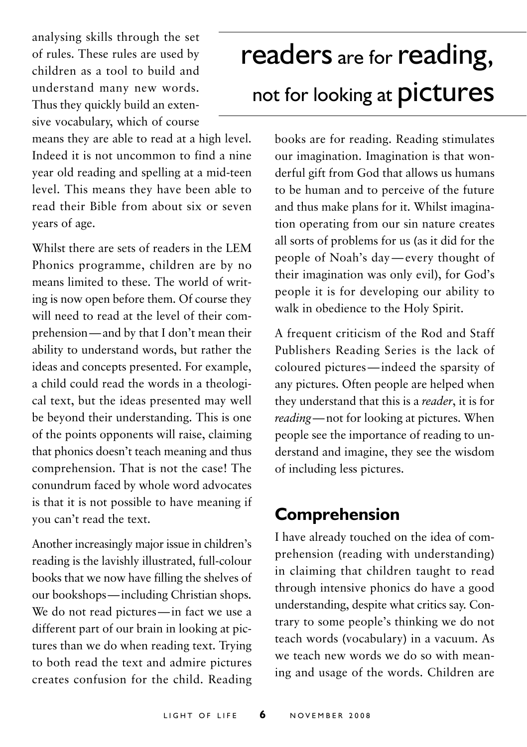analysing skills through the set of rules. These rules are used by children as a tool to build and understand many new words. Thus they quickly build an extensive vocabulary, which of course

means they are able to read at a high level. Indeed it is not uncommon to find a nine year old reading and spelling at a mid-teen level. This means they have been able to read their Bible from about six or seven years of age.

Whilst there are sets of readers in the LEM Phonics programme, children are by no means limited to these. The world of writing is now open before them. Of course they will need to read at the level of their comprehension—and by that I don't mean their ability to understand words, but rather the ideas and concepts presented. For example, a child could read the words in a theological text, but the ideas presented may well be beyond their understanding. This is one of the points opponents will raise, claiming that phonics doesn't teach meaning and thus comprehension. That is not the case! The conundrum faced by whole word advocates is that it is not possible to have meaning if you can't read the text.

Another increasingly major issue in children's reading is the lavishly illustrated, full-colour books that we now have filling the shelves of our bookshops—including Christian shops. We do not read pictures—in fact we use a different part of our brain in looking at pictures than we do when reading text. Trying to both read the text and admire pictures creates confusion for the child. Reading

# readers are for reading, not for looking at **pictures**

books are for reading. Reading stimulates our imagination. Imagination is that wonderful gift from God that allows us humans to be human and to perceive of the future and thus make plans for it. Whilst imagination operating from our sin nature creates all sorts of problems for us (as it did for the people of Noah's day—every thought of their imagination was only evil), for God's people it is for developing our ability to walk in obedience to the Holy Spirit.

A frequent criticism of the Rod and Staff Publishers Reading Series is the lack of coloured pictures—indeed the sparsity of any pictures. Often people are helped when they understand that this is a *reader*, it is for *reading*—not for looking at pictures. When people see the importance of reading to understand and imagine, they see the wisdom of including less pictures.

# **Comprehension**

I have already touched on the idea of comprehension (reading with understanding) in claiming that children taught to read through intensive phonics do have a good understanding, despite what critics say. Contrary to some people's thinking we do not teach words (vocabulary) in a vacuum. As we teach new words we do so with meaning and usage of the words. Children are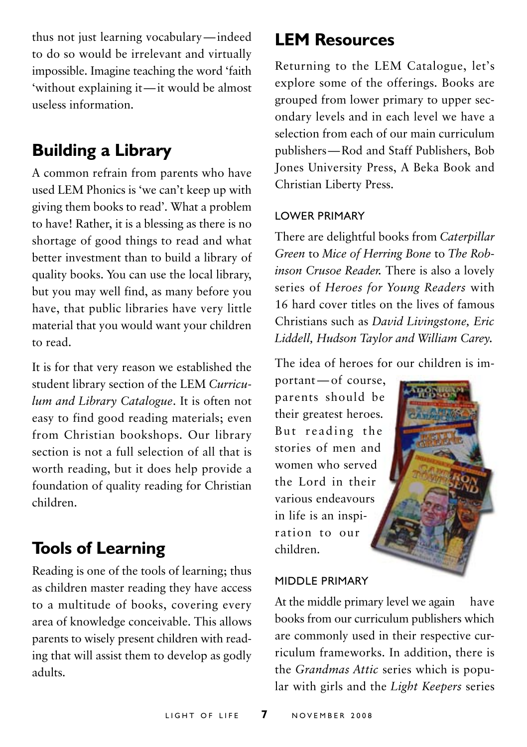thus not just learning vocabulary—indeed to do so would be irrelevant and virtually impossible. Imagine teaching the word 'faith 'without explaining it—it would be almost useless information.

## **Building a Library**

A common refrain from parents who have used LEM Phonics is 'we can't keep up with giving them books to read'. What a problem to have! Rather, it is a blessing as there is no shortage of good things to read and what better investment than to build a library of quality books. You can use the local library, but you may well find, as many before you have, that public libraries have very little material that you would want your children to read.

It is for that very reason we established the student library section of the LEM *Curriculum and Library Catalogue*. It is often not easy to find good reading materials; even from Christian bookshops. Our library section is not a full selection of all that is worth reading, but it does help provide a foundation of quality reading for Christian children.

## **Tools of Learning**

Reading is one of the tools of learning; thus as children master reading they have access to a multitude of books, covering every area of knowledge conceivable. This allows parents to wisely present children with reading that will assist them to develop as godly adults.

## **LEM Resources**

Returning to the LEM Catalogue, let's explore some of the offerings. Books are grouped from lower primary to upper secondary levels and in each level we have a selection from each of our main curriculum publishers—Rod and Staff Publishers, Bob Jones University Press, A Beka Book and Christian Liberty Press.

#### Lower Primary

There are delightful books from *Caterpillar Green* to *Mice of Herring Bone* to *The Robinson Crusoe Reader.* There is also a lovely series of *Heroes for Young Readers* with 16 hard cover titles on the lives of famous Christians such as *David Livingstone, Eric Liddell, Hudson Taylor and William Carey.*

The idea of heroes for our children is im-

portant—of course, parents should be their greatest heroes. But reading the stories of men and women who served the Lord in their various endeavours in life is an inspiration to our children.

#### Middle Primary

At the middle primary level we again have books from our curriculum publishers which are commonly used in their respective curriculum frameworks. In addition, there is the *Grandmas Attic* series which is popular with girls and the *Light Keepers* series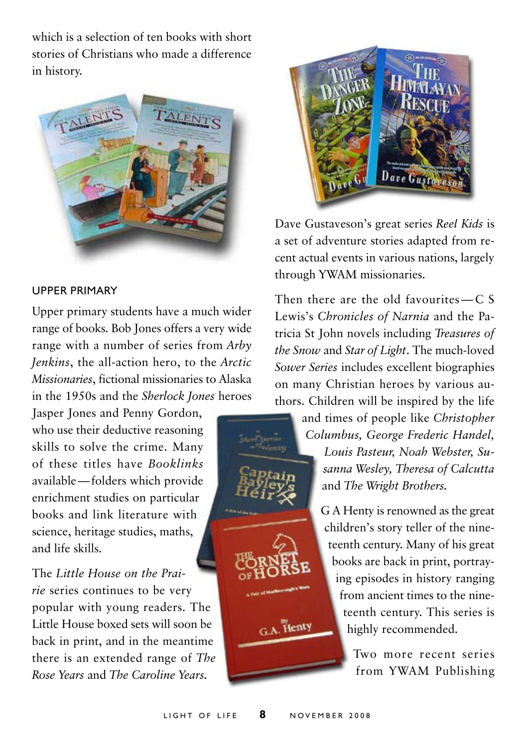which is a selection of ten books with short stories of Christians who made a difference in history.



#### Upper Primary

Upper primary students have a much wider range of books. Bob Jones offers a very wide range with a number of series from *Arby Jenkins*, the all-action hero, to the *Arctic Missionaries*, fictional missionaries to Alaska in the 1950s and the *Sherlock Jones* heroes

Jasper Jones and Penny Gordon, who use their deductive reasoning skills to solve the crime. Many of these titles have *Booklinks* available—folders which provide enrichment studies on particular books and link literature with science, heritage studies, maths, and life skills.

The *Little House on the Prairie* series continues to be very popular with young readers. The Little House boxed sets will soon be back in print, and in the meantime there is an extended range of *The Rose Years* and *The Caroline Years.*



Dave Gustaveson's great series *Reel Kids* is a set of adventure stories adapted from recent actual events in various nations, largely through YWAM missionaries.

Then there are the old favourites—C S Lewis's *Chronicles of Narnia* and the Patricia St John novels including *Treasures of the Snow* and *Star of Light*. The much-loved *Sower Series* includes excellent biographies on many Christian heroes by various authors. Children will be inspired by the life

> and times of people like *Christopher Columbus, George Frederic Handel, Louis Pasteur, Noah Webster, Susanna Wesley, Theresa of Calcutta*  and *The Wright Brothers.*

> > G A Henty is renowned as the great children's story teller of the nineteenth century. Many of his great books are back in print, portraying episodes in history ranging from ancient times to the nineteenth century. This series is highly recommended.

> > > Two more recent series from YWAM Publishing

G.A. Henty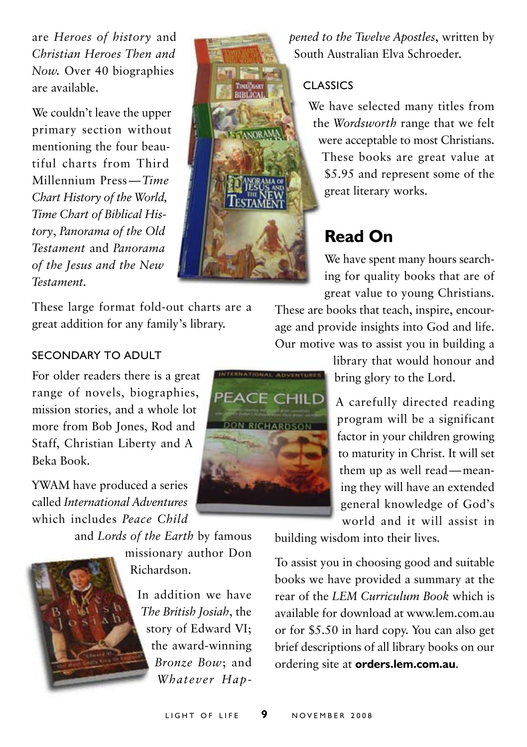are *Heroes of history* and *Christian Heroes Then and Now.* Over 40 biographies are available.

We couldn't leave the upper primary section without mentioning the four beautiful charts from Third Millennium Press—*Time Chart History of the World, Time Chart of Biblical History*, *Panorama of the Old Testament* and *Panorama of the Jesus and the New Testament.*

These large format fold-out charts are a great addition for any family's library.

## *pened to the Twelve Apostles*, written by South Australian Elva Schroeder.

#### Classics

We have selected many titles from the *Wordsworth* range that we felt were acceptable to most Christians. These books are great value at \$5.95 and represent some of the great literary works.

# **Read On**

We have spent many hours searching for quality books that are of great value to young Christians.

These are books that teach, inspire, encourage and provide insights into God and life. Our motive was to assist you in building a

> library that would honour and bring glory to the Lord.

A carefully directed reading program will be a significant factor in your children growing to maturity in Christ. It will set them up as well read—meaning they will have an extended general knowledge of God's world and it will assist in

building wisdom into their lives.

To assist you in choosing good and suitable books we have provided a summary at the rear of the *LEM Curriculum Book* which is available for download at www.lem.com.au or for \$5.50 in hard copy. You can also get brief descriptions of all library books on our ordering site at **orders.lem.com.au**.

#### Secondary to Adult

For older readers there is a great range of novels, biographies, mission stories, and a whole lot more from Bob Jones, Rod and Staff, Christian Liberty and A Beka Book.

YWAM have produced a series called *International Adventures* which includes *Peace Child* 

and *Lords of the Earth* by famous

missionary author Don Richardson.

> In addition we have *The British Josiah*, the story of Edward VI; the award-winning *Bronze Bow*; and *Whatever Hap-*



**SANDRAM** 

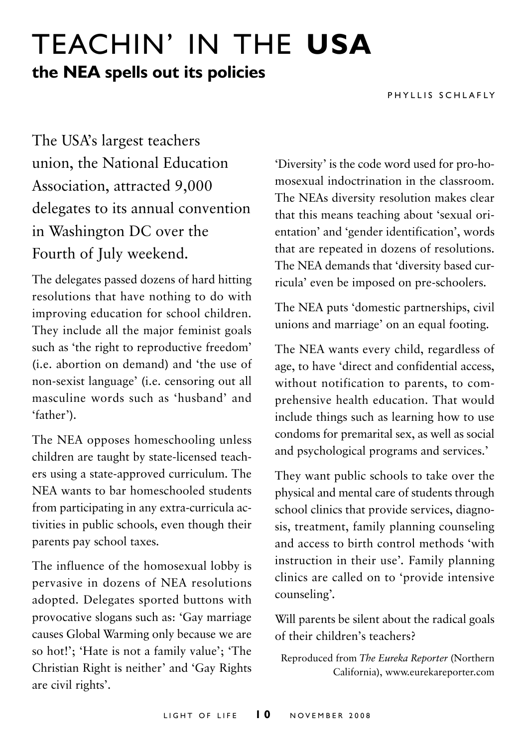# Teachin' in the **usa the NEA spells out its policies**

P H Y I LIS S C H LA F LY

The USA's largest teachers union, the National Education Association, attracted 9,000 delegates to its annual convention in Washington DC over the Fourth of July weekend.

The delegates passed dozens of hard hitting resolutions that have nothing to do with improving education for school children. They include all the major feminist goals such as 'the right to reproductive freedom' (i.e. abortion on demand) and 'the use of non-sexist language' (i.e. censoring out all masculine words such as 'husband' and 'father').

The NEA opposes homeschooling unless children are taught by state-licensed teachers using a state-approved curriculum. The NEA wants to bar homeschooled students from participating in any extra-curricula activities in public schools, even though their parents pay school taxes.

The influence of the homosexual lobby is pervasive in dozens of NEA resolutions adopted. Delegates sported buttons with provocative slogans such as: 'Gay marriage causes Global Warming only because we are so hot!'; 'Hate is not a family value'; 'The Christian Right is neither' and 'Gay Rights are civil rights'.

'Diversity' is the code word used for pro-homosexual indoctrination in the classroom. The NEAs diversity resolution makes clear that this means teaching about 'sexual orientation' and 'gender identification', words that are repeated in dozens of resolutions. The NEA demands that 'diversity based curricula' even be imposed on pre-schoolers.

The NEA puts 'domestic partnerships, civil unions and marriage' on an equal footing.

The NEA wants every child, regardless of age, to have 'direct and confidential access, without notification to parents, to comprehensive health education. That would include things such as learning how to use condoms for premarital sex, as well as social and psychological programs and services.'

They want public schools to take over the physical and mental care of students through school clinics that provide services, diagnosis, treatment, family planning counseling and access to birth control methods 'with instruction in their use'*.* Family planning clinics are called on to 'provide intensive counseling'*.*

Will parents be silent about the radical goals of their children's teachers?

Reproduced from *The Eureka Reporter* (Northern California), www.eurekareporter.com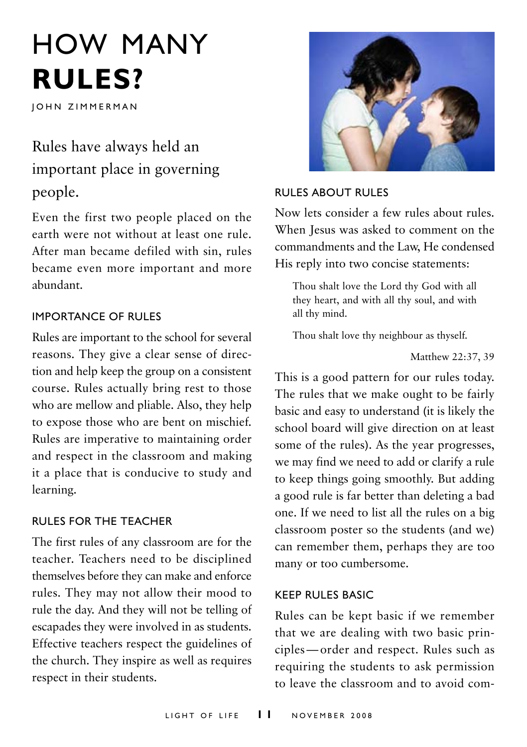# How many **rules?**

**JOHN ZIMMERMAN** 

# Rules have always held an important place in governing people.

Even the first two people placed on the earth were not without at least one rule. After man became defiled with sin, rules became even more important and more abundant.

#### Importance of Rules

Rules are important to the school for several reasons. They give a clear sense of direction and help keep the group on a consistent course. Rules actually bring rest to those who are mellow and pliable. Also, they help to expose those who are bent on mischief. Rules are imperative to maintaining order and respect in the classroom and making it a place that is conducive to study and learning.

#### Rules for the Teacher

The first rules of any classroom are for the teacher. Teachers need to be disciplined themselves before they can make and enforce rules. They may not allow their mood to rule the day. And they will not be telling of escapades they were involved in as students. Effective teachers respect the guidelines of the church. They inspire as well as requires respect in their students.



#### Rules about Rules

Now lets consider a few rules about rules. When Jesus was asked to comment on the commandments and the Law, He condensed His reply into two concise statements:

Thou shalt love the Lord thy God with all they heart, and with all thy soul, and with all thy mind.

Thou shalt love thy neighbour as thyself.

Matthew 22:37, 39

This is a good pattern for our rules today. The rules that we make ought to be fairly basic and easy to understand (it is likely the school board will give direction on at least some of the rules). As the year progresses, we may find we need to add or clarify a rule to keep things going smoothly. But adding a good rule is far better than deleting a bad one. If we need to list all the rules on a big classroom poster so the students (and we) can remember them, perhaps they are too many or too cumbersome.

#### Keep Rules Basic

Rules can be kept basic if we remember that we are dealing with two basic principles—order and respect. Rules such as requiring the students to ask permission to leave the classroom and to avoid com-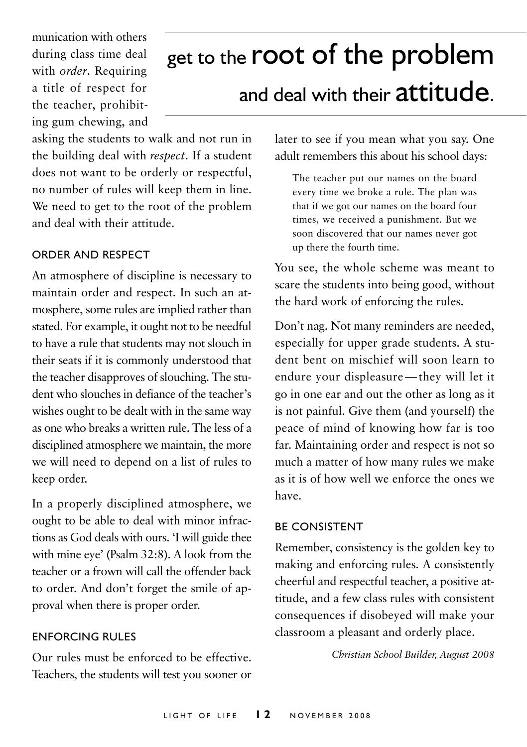munication with others during class time deal with *order*. Requiring a title of respect for the teacher, prohibiting gum chewing, and

# get to the **root of the problem**

# and deal with their attitude.

asking the students to walk and not run in the building deal with *respect*. If a student does not want to be orderly or respectful, no number of rules will keep them in line. We need to get to the root of the problem and deal with their attitude.

#### Order and Respect

An atmosphere of discipline is necessary to maintain order and respect. In such an atmosphere, some rules are implied rather than stated. For example, it ought not to be needful to have a rule that students may not slouch in their seats if it is commonly understood that the teacher disapproves of slouching. The student who slouches in defiance of the teacher's wishes ought to be dealt with in the same way as one who breaks a written rule. The less of a disciplined atmosphere we maintain, the more we will need to depend on a list of rules to keep order.

In a properly disciplined atmosphere, we ought to be able to deal with minor infractions as God deals with ours. 'I will guide thee with mine eye' (Psalm 32:8). A look from the teacher or a frown will call the offender back to order. And don't forget the smile of approval when there is proper order.

#### Enforcing Rules

Our rules must be enforced to be effective. Teachers, the students will test you sooner or later to see if you mean what you say. One adult remembers this about his school days:

The teacher put our names on the board every time we broke a rule. The plan was that if we got our names on the board four times, we received a punishment. But we soon discovered that our names never got up there the fourth time.

You see, the whole scheme was meant to scare the students into being good, without the hard work of enforcing the rules.

Don't nag. Not many reminders are needed, especially for upper grade students. A student bent on mischief will soon learn to endure your displeasure—they will let it go in one ear and out the other as long as it is not painful. Give them (and yourself) the peace of mind of knowing how far is too far. Maintaining order and respect is not so much a matter of how many rules we make as it is of how well we enforce the ones we have.

#### Be Consistent

Remember, consistency is the golden key to making and enforcing rules. A consistently cheerful and respectful teacher, a positive attitude, and a few class rules with consistent consequences if disobeyed will make your classroom a pleasant and orderly place.

*Christian School Builder, August 2008*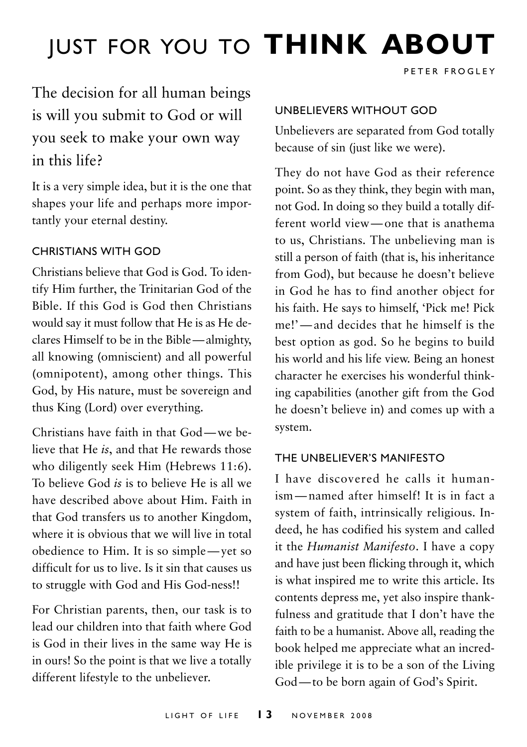# Just for you to **think about**

PETER FROGLEY

# The decision for all human beings is will you submit to God or will you seek to make your own way in this life?

It is a very simple idea, but it is the one that shapes your life and perhaps more importantly your eternal destiny.

#### Christians with God

Christians believe that God is God. To identify Him further, the Trinitarian God of the Bible. If this God is God then Christians would say it must follow that He is as He declares Himself to be in the Bible—almighty, all knowing (omniscient) and all powerful (omnipotent), among other things. This God, by His nature, must be sovereign and thus King (Lord) over everything.

Christians have faith in that God—we believe that He *is*, and that He rewards those who diligently seek Him (Hebrews 11:6). To believe God *is* is to believe He is all we have described above about Him. Faith in that God transfers us to another Kingdom, where it is obvious that we will live in total obedience to Him. It is so simple—yet so difficult for us to live. Is it sin that causes us to struggle with God and His God-ness!!

For Christian parents, then, our task is to lead our children into that faith where God is God in their lives in the same way He is in ours! So the point is that we live a totally different lifestyle to the unbeliever.

#### Unbelievers Without God

Unbelievers are separated from God totally because of sin (just like we were).

They do not have God as their reference point. So as they think, they begin with man, not God. In doing so they build a totally different world view—one that is anathema to us, Christians. The unbelieving man is still a person of faith (that is, his inheritance from God), but because he doesn't believe in God he has to find another object for his faith. He says to himself, 'Pick me! Pick me!'—and decides that he himself is the best option as god. So he begins to build his world and his life view. Being an honest character he exercises his wonderful thinking capabilities (another gift from the God he doesn't believe in) and comes up with a system.

#### The Unbeliever's Manifesto

I have discovered he calls it humanism—named after himself! It is in fact a system of faith, intrinsically religious. Indeed, he has codified his system and called it the *Humanist Manifesto*. I have a copy and have just been flicking through it, which is what inspired me to write this article. Its contents depress me, yet also inspire thankfulness and gratitude that I don't have the faith to be a humanist. Above all, reading the book helped me appreciate what an incredible privilege it is to be a son of the Living God—to be born again of God's Spirit.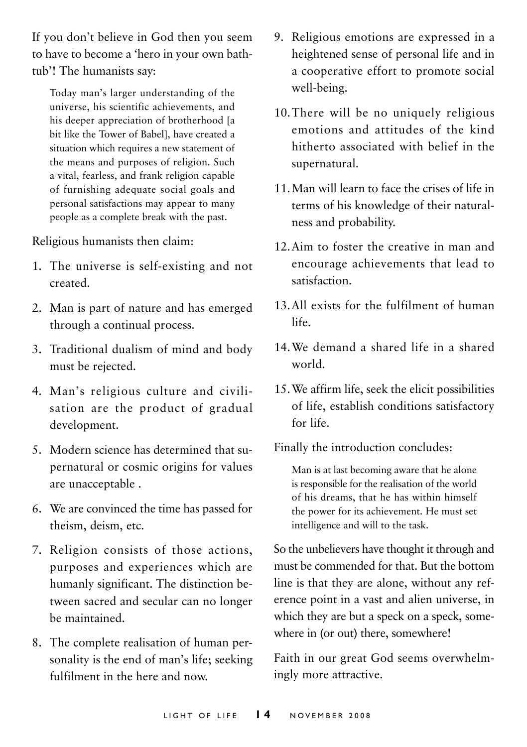If you don't believe in God then you seem to have to become a 'hero in your own bathtub'! The humanists say:

Today man's larger understanding of the universe, his scientific achievements, and his deeper appreciation of brotherhood [a bit like the Tower of Babel], have created a situation which requires a new statement of the means and purposes of religion. Such a vital, fearless, and frank religion capable of furnishing adequate social goals and personal satisfactions may appear to many people as a complete break with the past.

Religious humanists then claim:

- 1. The universe is self-existing and not created.
- 2. Man is part of nature and has emerged through a continual process.
- 3. Traditional dualism of mind and body must be rejected.
- 4. Man's religious culture and civilisation are the product of gradual development.
- 5. Modern science has determined that supernatural or cosmic origins for values are unacceptable .
- 6. We are convinced the time has passed for theism, deism, etc.
- 7. Religion consists of those actions, purposes and experiences which are humanly significant. The distinction between sacred and secular can no longer be maintained.
- 8. The complete realisation of human personality is the end of man's life; seeking fulfilment in the here and now.
- 9. Religious emotions are expressed in a heightened sense of personal life and in a cooperative effort to promote social well-being.
- 10.There will be no uniquely religious emotions and attitudes of the kind hitherto associated with belief in the supernatural.
- 11.Man will learn to face the crises of life in terms of his knowledge of their naturalness and probability.
- 12.Aim to foster the creative in man and encourage achievements that lead to satisfaction.
- 13.All exists for the fulfilment of human life.
- 14.We demand a shared life in a shared world.
- 15.We affirm life, seek the elicit possibilities of life, establish conditions satisfactory for life.

Finally the introduction concludes:

Man is at last becoming aware that he alone is responsible for the realisation of the world of his dreams, that he has within himself the power for its achievement. He must set intelligence and will to the task.

So the unbelievers have thought it through and must be commended for that. But the bottom line is that they are alone, without any reference point in a vast and alien universe, in which they are but a speck on a speck, somewhere in (or out) there, somewhere!

Faith in our great God seems overwhelmingly more attractive.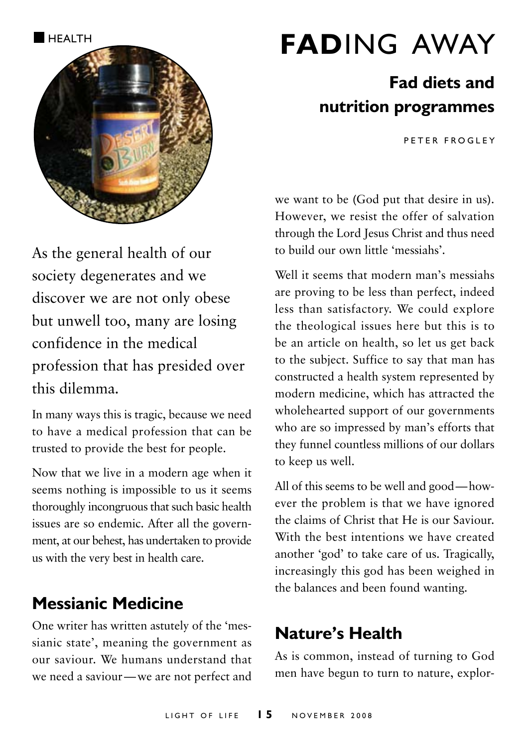

# As the general health of our society degenerates and we discover we are not only obese but unwell too, many are losing confidence in the medical profession that has presided over this dilemma.

In many ways this is tragic, because we need to have a medical profession that can be trusted to provide the best for people.

Now that we live in a modern age when it seems nothing is impossible to us it seems thoroughly incongruous that such basic health issues are so endemic. After all the government, at our behest, has undertaken to provide us with the very best in health care.

## **Messianic Medicine**

One writer has written astutely of the 'messianic state', meaning the government as our saviour. We humans understand that we need a saviour—we are not perfect and

# **FADING AWAY**

# **Fad diets and nutrition programmes**

PFTER FROGLEY

we want to be (God put that desire in us). However, we resist the offer of salvation through the Lord Jesus Christ and thus need to build our own little 'messiahs'.

Well it seems that modern man's messiahs are proving to be less than perfect, indeed less than satisfactory. We could explore the theological issues here but this is to be an article on health, so let us get back to the subject. Suffice to say that man has constructed a health system represented by modern medicine, which has attracted the wholehearted support of our governments who are so impressed by man's efforts that they funnel countless millions of our dollars to keep us well.

All of this seems to be well and good—however the problem is that we have ignored the claims of Christ that He is our Saviour. With the best intentions we have created another 'god' to take care of us. Tragically, increasingly this god has been weighed in the balances and been found wanting.

## **Nature's Health**

As is common, instead of turning to God men have begun to turn to nature, explor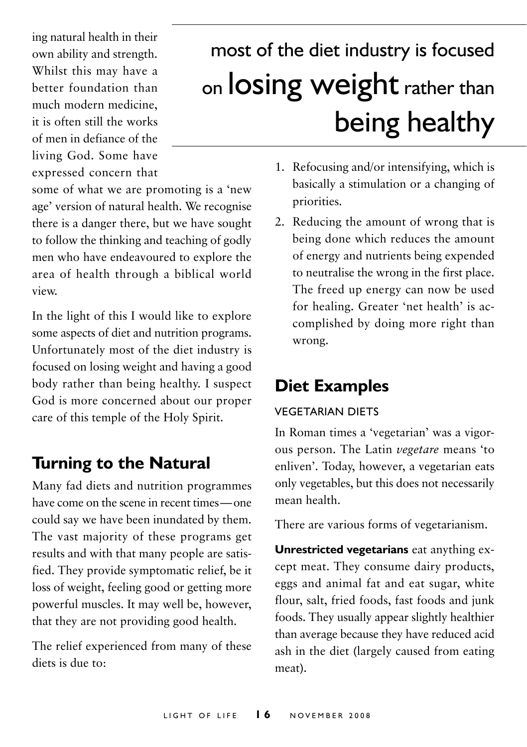ing natural health in their own ability and strength. Whilst this may have a better foundation than much modern medicine, it is often still the works of men in defiance of the living God. Some have expressed concern that

some of what we are promoting is a 'new age' version of natural health. We recognise there is a danger there, but we have sought to follow the thinking and teaching of godly men who have endeavoured to explore the area of health through a biblical world view.

In the light of this I would like to explore some aspects of diet and nutrition programs. Unfortunately most of the diet industry is focused on losing weight and having a good body rather than being healthy. I suspect God is more concerned about our proper care of this temple of the Holy Spirit.

## **Turning to the Natural**

Many fad diets and nutrition programmes have come on the scene in recent times—one could say we have been inundated by them. The vast majority of these programs get results and with that many people are satisfied. They provide symptomatic relief, be it loss of weight, feeling good or getting more powerful muscles. It may well be, however, that they are not providing good health.

The relief experienced from many of these diets is due to:

# most of the diet industry is focused on losing weight rather than being healthy

- 1. Refocusing and/or intensifying, which is basically a stimulation or a changing of priorities.
- 2. Reducing the amount of wrong that is being done which reduces the amount of energy and nutrients being expended to neutralise the wrong in the first place. The freed up energy can now be used for healing. Greater 'net health' is accomplished by doing more right than wrong.

# **Diet Examples**

#### Vegetarian diets

In Roman times a 'vegetarian' was a vigorous person. The Latin *vegetare* means 'to enliven'. Today, however, a vegetarian eats only vegetables, but this does not necessarily mean health.

There are various forms of vegetarianism.

**Unrestricted vegetarians** eat anything except meat. They consume dairy products, eggs and animal fat and eat sugar, white flour, salt, fried foods, fast foods and junk foods. They usually appear slightly healthier than average because they have reduced acid ash in the diet (largely caused from eating meat).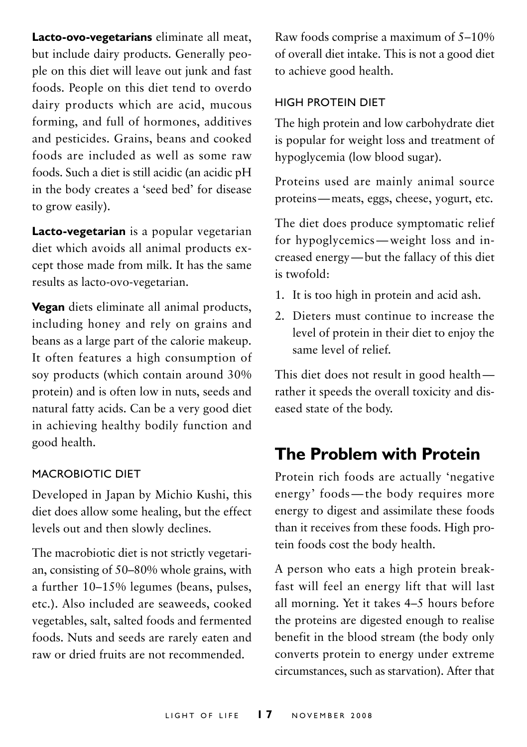**Lacto-ovo-vegetarians** eliminate all meat, but include dairy products. Generally people on this diet will leave out junk and fast foods. People on this diet tend to overdo dairy products which are acid, mucous forming, and full of hormones, additives and pesticides. Grains, beans and cooked foods are included as well as some raw foods. Such a diet is still acidic (an acidic pH in the body creates a 'seed bed' for disease to grow easily).

**Lacto-vegetarian** is a popular vegetarian diet which avoids all animal products except those made from milk. It has the same results as lacto-ovo-vegetarian.

**Vegan** diets eliminate all animal products, including honey and rely on grains and beans as a large part of the calorie makeup. It often features a high consumption of soy products (which contain around 30% protein) and is often low in nuts, seeds and natural fatty acids. Can be a very good diet in achieving healthy bodily function and good health.

#### Macrobiotic Diet

Developed in Japan by Michio Kushi, this diet does allow some healing, but the effect levels out and then slowly declines.

The macrobiotic diet is not strictly vegetarian, consisting of 50–80% whole grains, with a further 10–15% legumes (beans, pulses, etc.). Also included are seaweeds, cooked vegetables, salt, salted foods and fermented foods. Nuts and seeds are rarely eaten and raw or dried fruits are not recommended.

Raw foods comprise a maximum of 5–10% of overall diet intake. This is not a good diet to achieve good health.

#### High Protein Diet

The high protein and low carbohydrate diet is popular for weight loss and treatment of hypoglycemia (low blood sugar).

Proteins used are mainly animal source proteins—meats, eggs, cheese, yogurt, etc.

The diet does produce symptomatic relief for hypoglycemics—weight loss and increased energy—but the fallacy of this diet is twofold:

- 1. It is too high in protein and acid ash.
- 2. Dieters must continue to increase the level of protein in their diet to enjoy the same level of relief.

This diet does not result in good health rather it speeds the overall toxicity and diseased state of the body.

# **The Problem with Protein**

Protein rich foods are actually 'negative energy' foods—the body requires more energy to digest and assimilate these foods than it receives from these foods. High protein foods cost the body health.

A person who eats a high protein breakfast will feel an energy lift that will last all morning. Yet it takes 4–5 hours before the proteins are digested enough to realise benefit in the blood stream (the body only converts protein to energy under extreme circumstances, such as starvation). After that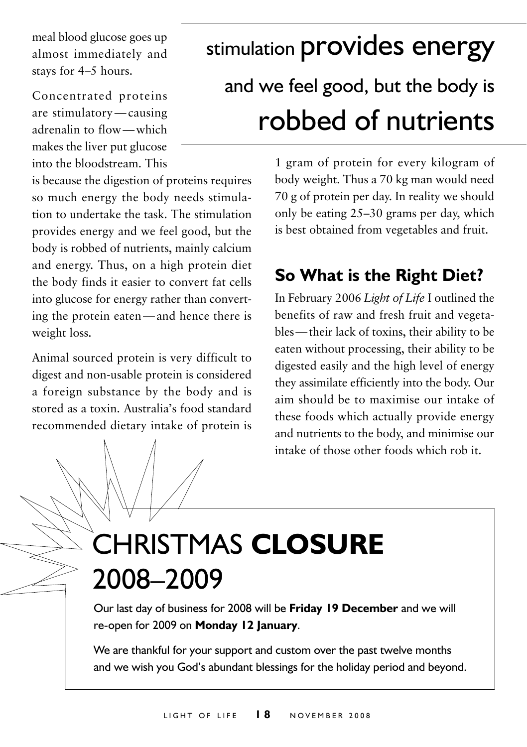meal blood glucose goes up almost immediately and stays for 4–5 hours.

Concentrated proteins are stimulatory—causing adrenalin to flow—which makes the liver put glucose into the bloodstream. This

is because the digestion of proteins requires so much energy the body needs stimulation to undertake the task. The stimulation provides energy and we feel good, but the body is robbed of nutrients, mainly calcium and energy. Thus, on a high protein diet the body finds it easier to convert fat cells into glucose for energy rather than converting the protein eaten—and hence there is weight loss.

Animal sourced protein is very difficult to digest and non-usable protein is considered a foreign substance by the body and is stored as a toxin. Australia's food standard recommended dietary intake of protein is

# stimulation provides energy and we feel good, but the body is robbed of nutrients

1 gram of protein for every kilogram of body weight. Thus a 70 kg man would need 70 g of protein per day. In reality we should only be eating 25–30 grams per day, which is best obtained from vegetables and fruit.

# **So What is the Right Diet?**

In February 2006 *Light of Life* I outlined the benefits of raw and fresh fruit and vegetables—their lack of toxins, their ability to be eaten without processing, their ability to be digested easily and the high level of energy they assimilate efficiently into the body. Our aim should be to maximise our intake of these foods which actually provide energy and nutrients to the body, and minimise our intake of those other foods which rob it.

# Christmas **Closure** 2008–2009

Our last day of business for 2008 will be **Friday 19 December** and we will re-open for 2009 on **Monday 12 January**.

We are thankful for your support and custom over the past twelve months and we wish you God's abundant blessings for the holiday period and beyond.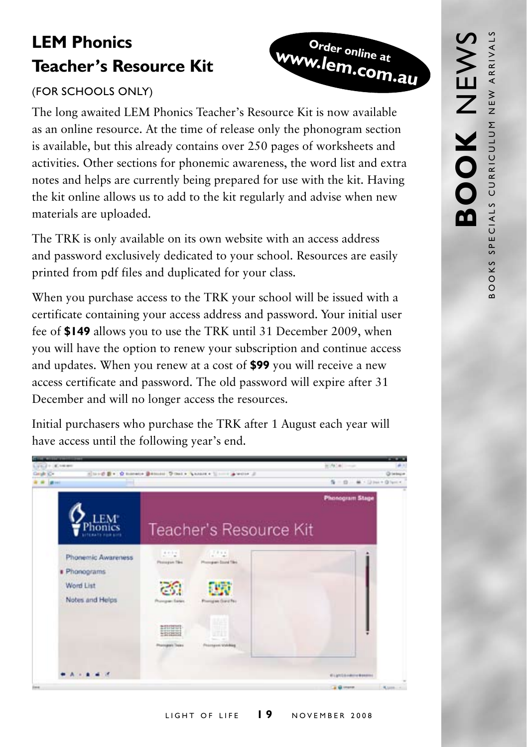# **Order online at www.lem.com.au**

# **LEM Phonics Teacher's Resource Kit**

## (For Schools only)

The long awaited LEM Phonics Teacher's Resource Kit is now available as an online resource. At the time of release only the phonogram section is available, but this already contains over 250 pages of worksheets and activities. Other sections for phonemic awareness, the word list and extra notes and helps are currently being prepared for use with the kit. Having the kit online allows us to add to the kit regularly and advise when new materials are uploaded.

The TRK is only available on its own website with an access address and password exclusively dedicated to your school. Resources are easily printed from pdf files and duplicated for your class.

When you purchase access to the TRK your school will be issued with a certificate containing your access address and password. Your initial user fee of **\$149** allows you to use the TRK until 31 December 2009, when you will have the option to renew your subscription and continue access and updates. When you renew at a cost of **\$99** you will receive a new access certificate and password. The old password will expire after 31 December and will no longer access the resources.

Initial purchasers who purchase the TRK after 1 August each year will have access until the following year's end.

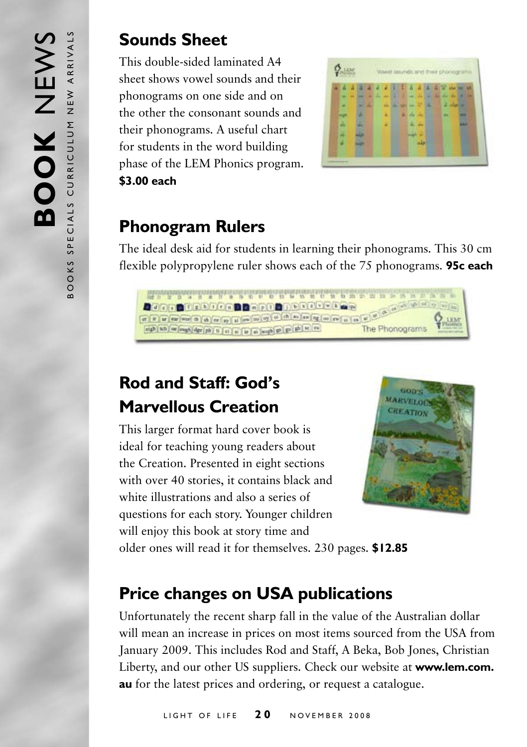## **Sounds Sheet**

This double-sided laminated A4 sheet shows vowel sounds and their phonograms on one side and on the other the consonant sounds and their phonograms. A useful chart for students in the word building phase of the LEM Phonics program. **\$3.00 each**



## **Phonogram Rulers**

The ideal desk aid for students in learning their phonograms. This 30 cm flexible polypropylene ruler shows each of the 75 phonograms. **95c each**



# **Rod and Staff: God's Marvellous Creation**

This larger format hard cover book is ideal for teaching young readers about the Creation. Presented in eight sections with over 40 stories, it contains black and white illustrations and also a series of questions for each story. Younger children will enjoy this book at story time and



older ones will read it for themselves. 230 pages. **\$12.85**

# **Price changes on USA publications**

Unfortunately the recent sharp fall in the value of the Australian dollar will mean an increase in prices on most items sourced from the USA from January 2009. This includes Rod and Staff, A Beka, Bob Jones, Christian Liberty, and our other US suppliers. Check our website at **www.lem.com. au** for the latest prices and ordering, or request a catalogue.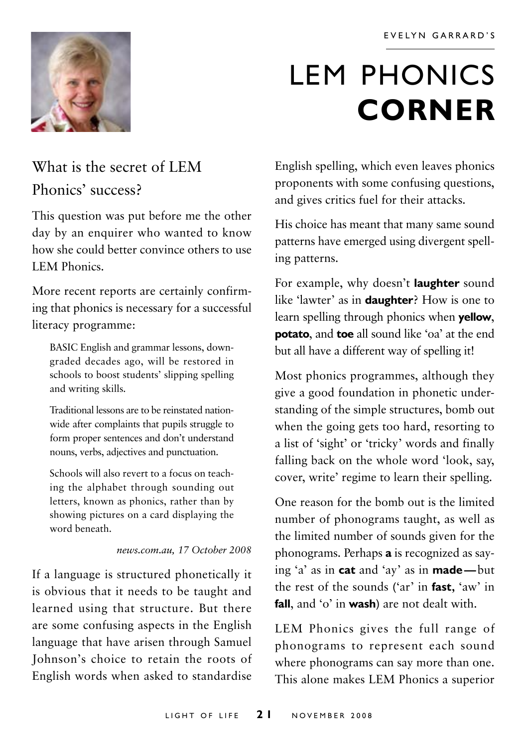

# LEM PHONICS **corner**

# What is the secret of LEM Phonics' success?

This question was put before me the other day by an enquirer who wanted to know how she could better convince others to use **LEM Phonics.** 

More recent reports are certainly confirming that phonics is necessary for a successful literacy programme:

BASIC English and grammar lessons, downgraded decades ago, will be restored in schools to boost students' slipping spelling and writing skills.

Traditional lessons are to be reinstated nationwide after complaints that pupils struggle to form proper sentences and don't understand nouns, verbs, adjectives and punctuation.

Schools will also revert to a focus on teaching the alphabet through sounding out letters, known as phonics, rather than by showing pictures on a card displaying the word beneath.

#### *news.com.au, 17 October 2008*

If a language is structured phonetically it is obvious that it needs to be taught and learned using that structure. But there are some confusing aspects in the English language that have arisen through Samuel Johnson's choice to retain the roots of English words when asked to standardise

English spelling, which even leaves phonics proponents with some confusing questions, and gives critics fuel for their attacks.

His choice has meant that many same sound patterns have emerged using divergent spelling patterns.

For example, why doesn't **laughter** sound like 'lawter' as in **daughter**? How is one to learn spelling through phonics when **yellow**, **potato**, and **toe** all sound like 'oa' at the end but all have a different way of spelling it!

Most phonics programmes, although they give a good foundation in phonetic understanding of the simple structures, bomb out when the going gets too hard, resorting to a list of 'sight' or 'tricky' words and finally falling back on the whole word 'look, say, cover, write' regime to learn their spelling.

One reason for the bomb out is the limited number of phonograms taught, as well as the limited number of sounds given for the phonograms. Perhaps **a** is recognized as saying 'a' as in **cat** and 'ay' as in **made—**but the rest of the sounds ('ar' in **fast,** 'aw' in **fall**, and 'o' in **wash**) are not dealt with.

LEM Phonics gives the full range of phonograms to represent each sound where phonograms can say more than one. This alone makes LEM Phonics a superior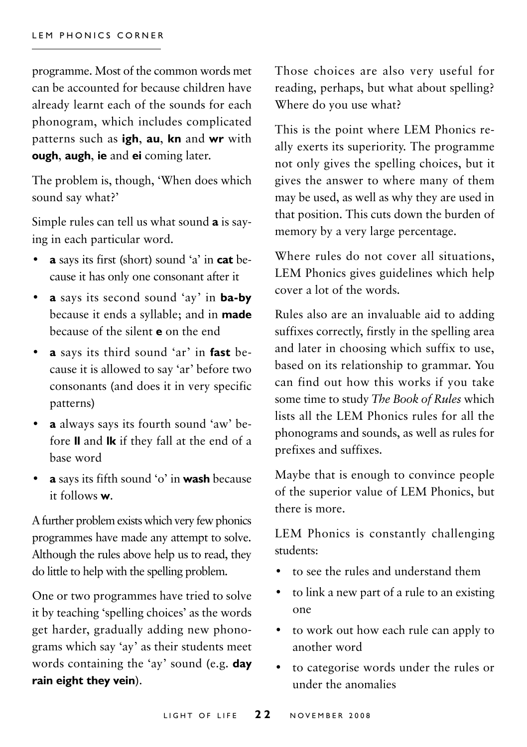programme. Most of the common words met can be accounted for because children have already learnt each of the sounds for each phonogram, which includes complicated patterns such as **igh**, **au**, **kn** and **wr** with **ough**, **augh**, **ie** and **ei** coming later.

The problem is, though, 'When does which sound say what?'

Simple rules can tell us what sound **a** is saying in each particular word.

- **• a** says its first (short) sound 'a' in **cat** because it has only one consonant after it
- **a** says its second sound 'ay' in **ba-by**  because it ends a syllable; and in **made**  because of the silent **e** on the end
- **a** says its third sound 'ar' in **fast** because it is allowed to say 'ar' before two consonants (and does it in very specific patterns)
- **a** always says its fourth sound 'aw' before **ll** and **lk** if they fall at the end of a base word
- **a** says its fifth sound 'o' in **wash** because it follows **w**.

A further problem exists which very few phonics programmes have made any attempt to solve. Although the rules above help us to read, they do little to help with the spelling problem.

One or two programmes have tried to solve it by teaching 'spelling choices' as the words get harder, gradually adding new phonograms which say 'ay' as their students meet words containing the 'ay' sound (e.g. **day rain eight they vein**).

Those choices are also very useful for reading, perhaps, but what about spelling? Where do you use what?

This is the point where LEM Phonics really exerts its superiority. The programme not only gives the spelling choices, but it gives the answer to where many of them may be used, as well as why they are used in that position. This cuts down the burden of memory by a very large percentage.

Where rules do not cover all situations, LEM Phonics gives guidelines which help cover a lot of the words.

Rules also are an invaluable aid to adding suffixes correctly, firstly in the spelling area and later in choosing which suffix to use, based on its relationship to grammar. You can find out how this works if you take some time to study *The Book of Rules* which lists all the LEM Phonics rules for all the phonograms and sounds, as well as rules for prefixes and suffixes.

Maybe that is enough to convince people of the superior value of LEM Phonics, but there is more.

LEM Phonics is constantly challenging students:

- to see the rules and understand them
- to link a new part of a rule to an existing one
- to work out how each rule can apply to another word
- to categorise words under the rules or under the anomalies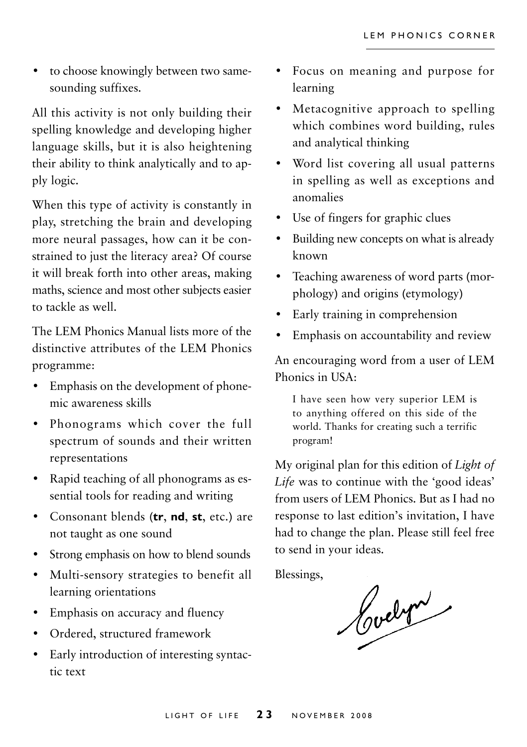• to choose knowingly between two samesounding suffixes.

All this activity is not only building their spelling knowledge and developing higher language skills, but it is also heightening their ability to think analytically and to apply logic.

When this type of activity is constantly in play, stretching the brain and developing more neural passages, how can it be constrained to just the literacy area? Of course it will break forth into other areas, making maths, science and most other subjects easier to tackle as well.

The LEM Phonics Manual lists more of the distinctive attributes of the LEM Phonics programme:

- Emphasis on the development of phonemic awareness skills
- Phonograms which cover the full spectrum of sounds and their written representations
- Rapid teaching of all phonograms as essential tools for reading and writing
- Consonant blends (**tr**, **nd**, **st**, etc.) are not taught as one sound
- Strong emphasis on how to blend sounds
- Multi-sensory strategies to benefit all learning orientations
- Emphasis on accuracy and fluency
- Ordered, structured framework
- Early introduction of interesting syntactic text
- Focus on meaning and purpose for learning
- Metacognitive approach to spelling which combines word building, rules and analytical thinking
- Word list covering all usual patterns in spelling as well as exceptions and anomalies
- Use of fingers for graphic clues
- Building new concepts on what is already known
- Teaching awareness of word parts (morphology) and origins (etymology)
- Early training in comprehension
- Emphasis on accountability and review

An encouraging word from a user of LEM Phonics in USA:

I have seen how very superior LEM is to anything offered on this side of the world. Thanks for creating such a terrific program!

My original plan for this edition of *Light of Life* was to continue with the 'good ideas' from users of LEM Phonics. But as I had no response to last edition's invitation, I have had to change the plan. Please still feel free to send in your ideas.

Blessings,

Cochri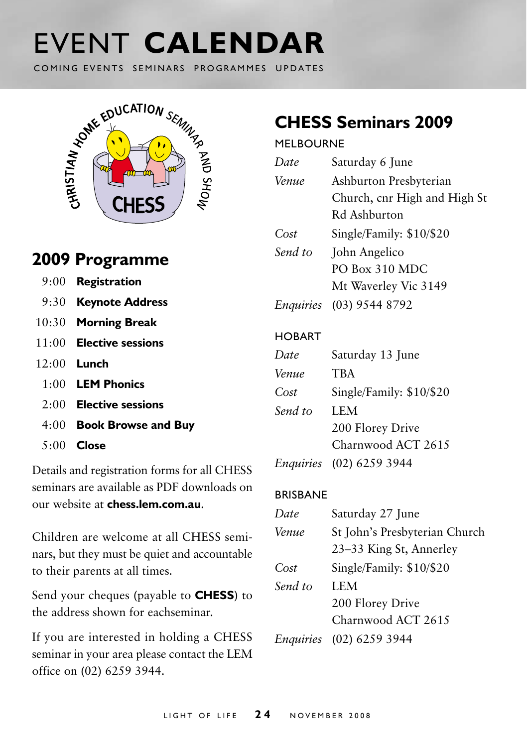# event **calendar**

COMING EVENTS SEMINARS PROGRAMMES UPDATES



## **2009 Programme**

| 9:00 Registration         |
|---------------------------|
| 9:30 Keynote Address      |
| 10:30 Morning Break       |
| $11:00$ Elective sessions |
| $12:00$ Lunch             |
| $1:00$ LEM Phonics        |
| $2:00$ Elective sessions  |
| 4:00 Book Browse and Buy  |
| $5:00$ Close              |

Details and registration forms for all CHESS seminars are available as PDF downloads on our website at **chess.lem.com.au**.

Children are welcome at all CHESS seminars, but they must be quiet and accountable to their parents at all times.

Send your cheques (payable to **CHESS**) to the address shown for eachseminar.

If you are interested in holding a CHESS seminar in your area please contact the LEM office on (02) 6259 3944.

# **CHESS Seminars 2009**

#### **MELBOURNE**

| Date            | Saturday 6 June               |
|-----------------|-------------------------------|
| Venue           | Ashburton Presbyterian        |
|                 | Church, cnr High and High St  |
|                 | Rd Ashburton                  |
| Cost            | Single/Family: \$10/\$20      |
| Send to         | John Angelico                 |
|                 | PO Box 310 MDC                |
|                 | Mt Waverley Vic 3149          |
|                 | Enquiries (03) 9544 8792      |
|                 |                               |
| <b>HOBART</b>   |                               |
| Date            | Saturday 13 June              |
| Venue           | <b>TRA</b>                    |
| Cost            | Single/Family: \$10/\$20      |
| Send to         | <b>LEM</b>                    |
|                 | 200 Florey Drive              |
|                 | Charnwood ACT 2615            |
|                 | Enquiries (02) 6259 3944      |
| <b>BRISBANE</b> |                               |
| Date            | Saturday 27 June              |
| Venue           | St John's Presbyterian Church |
|                 | 23–33 King St, Annerley       |
|                 |                               |
| Cost            | Single/Family: \$10/\$20      |

*Send to* LEM 200 Florey Drive Charnwood ACT 2615

*Enquiries* (02) 6259 3944